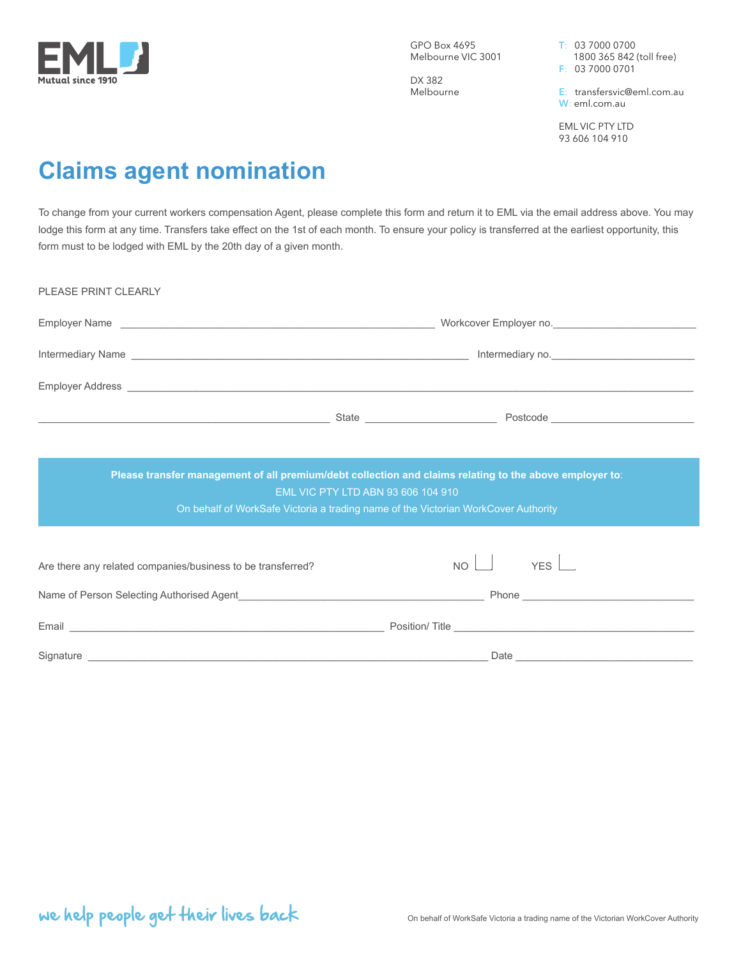

GPO Box 4695 Melbourne VIC 3001

DX 382 Melbourne T: 03 7000 0700 1800 365 842 (toll free) F: 03 7000 0701

E: transfersvic@eml.com.au W: eml.com.au

EML VIC PTY LTD 93 606 104 910

# **Claims agent nomination**

To change from your current workers compensation Agent, please complete this form and return it to EML via the email address above. You may lodge this form at any time. Transfers take effect on the 1st of each month. To ensure your policy is transferred at the earliest opportunity, this form must to be lodged with EML by the 20th day of a given month.

| PLEASE PRINT CLEARLY                                                                                                                                                                                                           |            |  |
|--------------------------------------------------------------------------------------------------------------------------------------------------------------------------------------------------------------------------------|------------|--|
|                                                                                                                                                                                                                                |            |  |
|                                                                                                                                                                                                                                |            |  |
| Employer Address League and Contract Contract Contract Contract Contract Contract Contract Contract Contract Contract Contract Contract Contract Contract Contract Contract Contract Contract Contract Contract Contract Contr |            |  |
|                                                                                                                                                                                                                                |            |  |
|                                                                                                                                                                                                                                |            |  |
| Please transfer management of all premium/debt collection and claims relating to the above employer to:                                                                                                                        |            |  |
| EML VIC PTY LTD ABN 93 606 104 910<br>On behalf of WorkSafe Victoria a trading name of the Victorian WorkCover Authority                                                                                                       |            |  |
|                                                                                                                                                                                                                                |            |  |
| Are there any related companies/business to be transferred?                                                                                                                                                                    | $NO$ $YES$ |  |
| Name of Person Selecting Authorised Agent <b>Manual Community Community Community</b> Phone <b>Community Community Community</b>                                                                                               |            |  |
|                                                                                                                                                                                                                                |            |  |
|                                                                                                                                                                                                                                |            |  |